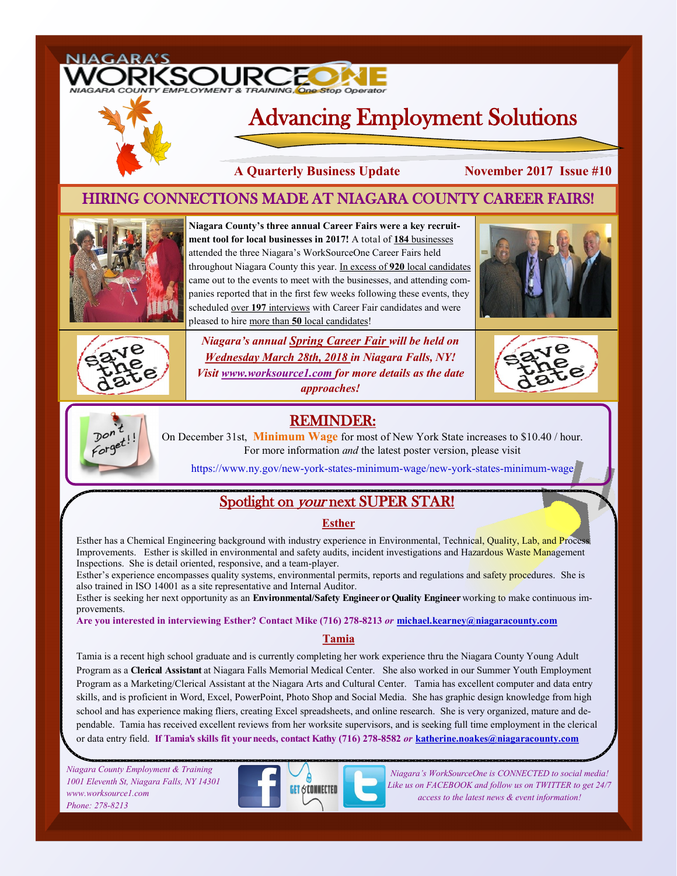# SOUR

## Advancing Employment Solutions

**A Quarterly Business Update November 2017 Issue #10**

## HIRING CONNECTIONS MADE AT NIAGARA COUNTY CAREER FAIRS!



**Niagara County's three annual Career Fairs were a key recruitment tool for local businesses in 2017!** A total of **184** businesses attended the three Niagara's WorkSourceOne Career Fairs held throughout Niagara County this year. In excess of **920** local candidates came out to the events to meet with the businesses, and attending companies reported that in the first few weeks following these events, they scheduled over 197 interviews with Career Fair candidates and were pleased to hire more than **50** local candidates!





*Niagara's annual Spring Career Fair will be held on Wednesday March 28th, 2018 in Niagara Falls, NY! Visit www.worksource1.com for more details as the date approaches!*





REMINDER:

On December 31st, **Minimum Wage** for most of New York State increases to \$10.40 / hour. For more information *and* the latest poster version, please visit

https://www.ny.gov/new-york-states-minimum-wage/new-york-states-minimum-wage

## Spotlight on your next SUPER STAR!

#### **Esther**

Esther has a Chemical Engineering background with industry experience in Environmental, Technical, Quality, Lab, and Proces Improvements. Esther is skilled in environmental and safety audits, incident investigations and Hazardous Waste Management Inspections. She is detail oriented, responsive, and a team-player.

Esther's experience encompasses quality systems, environmental permits, reports and regulations and safety procedures. She is also trained in ISO 14001 as a site representative and Internal Auditor.

Esther is seeking her next opportunity as an **Environmental/Safety Engineer or Quality Engineer** working to make continuous improvements.

**Are you interested in interviewing Esther? Contact Mike (716) 278-8213** *or* **michael.kearney@niagaracounty.com**

#### **Tamia**

Tamia is a recent high school graduate and is currently completing her work experience thru the Niagara County Young Adult Program as a **Clerical Assistant** at Niagara Falls Memorial Medical Center. She also worked in our Summer Youth Employment Program as a Marketing/Clerical Assistant at the Niagara Arts and Cultural Center. Tamia has excellent computer and data entry skills, and is proficient in Word, Excel, PowerPoint, Photo Shop and Social Media. She has graphic design knowledge from high school and has experience making fliers, creating Excel spreadsheets, and online research. She is very organized, mature and dependable. Tamia has received excellent reviews from her worksite supervisors, and is seeking full time employment in the clerical or data entry field. **If Tamia's skills fit your needs, contact Kathy (716) 278-8582** *or* **katherine.noakes@niagaracounty.com**

*Niagara County Employment & Training 1001 Eleventh St, Niagara Falls, NY 14301 www.worksource1.com Phone: 278-8213*



*Niagara's WorkSourceOne is CONNECTED to social media! Like us on FACEBOOK and follow us on TWITTER to get 24/7 access to the latest news & event information!*